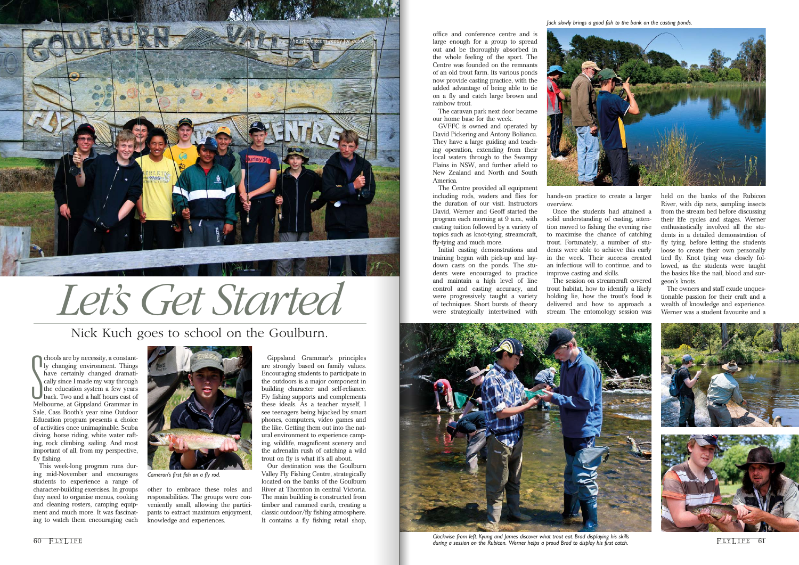office and conference centre and is large enough for a group to spread out and be thoroughly absorbed in the whole feeling of the sport. The Centre was founded on the remnants of an old trout farm. Its various ponds now provide casting practice, with the added advantage of being able to tie on a fly and catch large brown and rainbow trout.

The caravan park next door became our home base for the week.

GVFFC is owned and operated by David Pickering and Antony Boliancu. They have a large guiding and teaching operation, extending from their local waters through to the Swampy Plains in NSW, and further afield to New Zealand and North and South America.

> hands-on practice to create a larger overview.

The Centre provided all equipment including rods, waders and flies for the duration of our visit. Instructors David, Werner and Geoff started the program each morning at 9 a.m., with casting tuition followed by a variety of topics such as knot-tying, streamcraft, fly-tying and much more.

Initial casting demonstrations and training began with pick-up and laydown casts on the ponds. The students were encouraged to practice and maintain a high level of line control and casting accuracy, and were progressively taught a variety of techniques. Short bursts of theory were strategically intertwined with



Once the students had attained a

Chools are by necessity, a constant-<br>Iy changing environment. Things<br>have certainly changed dramati-<br>cally since I made my way through<br>the education system a few years<br>back. Two and a half hours east of<br>Melbourne, at Gipps chools are by necessity, a constantly changing environment. Things have certainly changed dramatically since I made my way through the education system a few years back. Two and a half hours east of Sale, Cass Booth's year nine Outdoor Education program presents a choice of activities once unimaginable. Scuba diving, horse riding, white water rafting, rock climbing, sailing. And most important of all, from my perspective, fly fishing.

solid understanding of casting, attention moved to fishing the evening rise to maximise the chance of catching trout. Fortunately, a number of students were able to achieve this early in the week. Their success created an infectious will to continue, and to improve casting and skills.

The session on streamcraft covered

trout habitat, how to identify a likely holding lie, how the trout's food is delivered and how to approach a stream. The entomology session was held on the banks of the Rubicon River, with dip nets, sampling insects from the stream bed before discussing their life cycles and stages. Werner enthusiastically involved all the students in a detailed demonstration of fly tying, before letting the students loose to create their own personally tied fly. Knot tying was closely followed, as the students were taught the basics like the nail, blood and surgeon's knots.



FIT LIFE 61 *Clockwise from left: Kyung and James discover what trout eat. Brad displaying his skills* 

The owners and staff exude unquestionable passion for their craft and a wealth of knowledge and experience. Werner was a student favourite and a



This week-long program runs during mid-November and encourages students to experience a range of character-building exercises. In groups they need to organise menus, cooking and cleaning rosters, camping equipment and much more. It was fascinating to watch them encouraging each

other to embrace these roles and responsibilities. The groups were conveniently small, allowing the participants to extract maximum enjoyment, knowledge and experiences.

Gippsland Grammar's principles are strongly based on family values. Encouraging students to participate in the outdoors is a major component in building character and self-reliance. Fly fishing supports and complements these ideals. As a teacher myself, I see teenagers being hijacked by smart phones, computers, video games and the like. Getting them out into the natural environment to experience camping, wildlife, magnificent scenery and the adrenalin rush of catching a wild trout on fly is what it's all about.

Our destination was the Goulburn Valley Fly Fishing Centre, strategically located on the banks of the Goulburn River at Thornton in central Victoria. The main building is constructed from timber and rammed earth, creating a classic outdoor/fly fishing atmosphere. It contains a fly fishing retail shop,

## Nick Kuch goes to school on the Goulburn.

*Let's Get Started*





*Cameron's first fish on a fly rod.*

*Jack slowly brings a good fish to the bank on the casting ponds.*